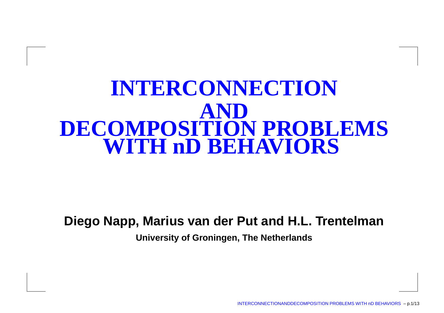# **INTERCONNECTIONANDDECOMPOSITION PROBLEMSWITH nD BEHAVIORS**

#### **Diego Napp, Marius van der Put and H.L. Trentelman**

**University of Groningen, The Netherlands**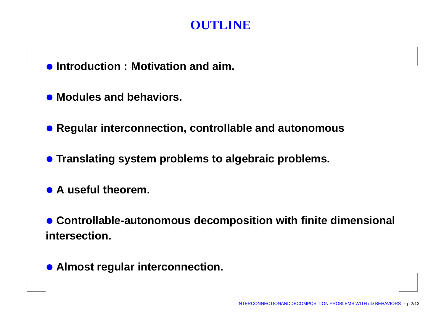#### **OUTLINE**

- **Introduction : Motivation and aim.**
- **Modules and behaviors.**
- **Regular interconnection, controllable and autonomous**
- **Translating system problems to algebraic problems.**
- **<sup>A</sup> useful theorem.**
- **Controllable-autonomous decomposition with finite dimensional intersection.**
- **Almost regular interconnection.**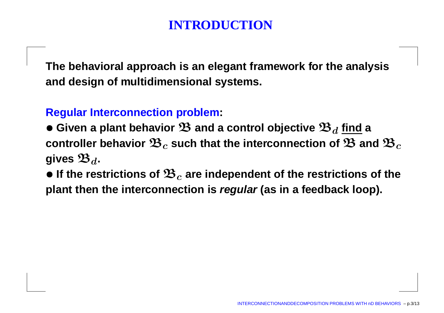**The behavioral approach is an elegant framework for the analysisand design of multidimensional systems.**

#### **Regular Interconnection problem:**

- $\bullet$  Given a plant behavior  $\mathfrak{B}$  and a control objective  $\mathfrak{B}_d$  <u>find</u> a<br>controller behavior  $\mathfrak{B}_s$  such that the interconnection of  $\mathfrak{B}$  an  $\bf{c}$  controller behavior  $\mathfrak{B}_c$  such that the interconnection of  $\bf{\mathfrak{B}}$  and  $\bf{\mathfrak{B}}_c$ gives  $\mathfrak{B}_d$ .
- $\bullet$  If the restrictions of  $\mathfrak{B}_c$  are independent of the restrictions of the **plant then the interconnection is regular (as in <sup>a</sup> feedback loop).**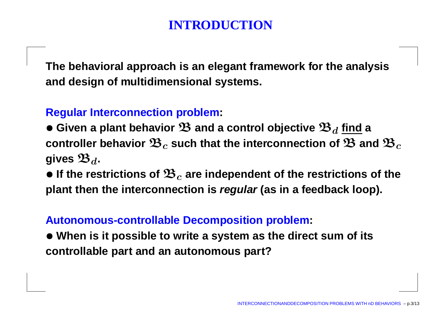**The behavioral approach is an elegant framework for the analysisand design of multidimensional systems.**

#### **Regular Interconnection problem:**

- $\bullet$  Given a plant behavior  $\mathfrak{B}$  and a control objective  $\mathfrak{B}_d$  <u>find</u> a<br>controller behavior  $\mathfrak{B}_s$  such that the interconnection of  $\mathfrak{B}$  an  $\bf{c}$  controller behavior  $\mathfrak{B}_c$  such that the interconnection of  $\bf{\mathfrak{B}}$  and  $\bf{\mathfrak{B}}_c$ gives  $\mathfrak{B}_d$ .
- $\bullet$  If the restrictions of  $\mathfrak{B}_c$  are independent of the restrictions of the **plant then the interconnection is regular (as in <sup>a</sup> feedback loop).**

#### **Autonomous-controllable Decomposition problem:**

 $\bullet$  When is it possible to write a system as the direct sum of its **controllable part and an autonomous part?**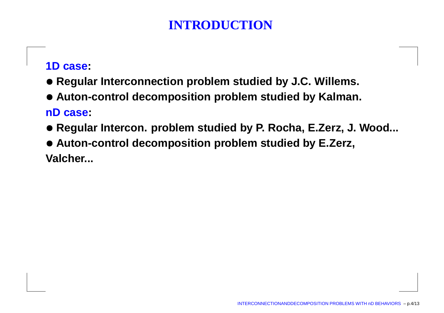#### **1D case:**

- **Regular Interconnection problem studied by J.C. Willems.**
- **Auton-control decomposition problem studied by Kalman. nD case:**
- **Regular Intercon. problem studied by P. Rocha, E.Zerz, J. Wood...**
- **Auton-control decomposition problem studied by E.Zerz, Valcher...**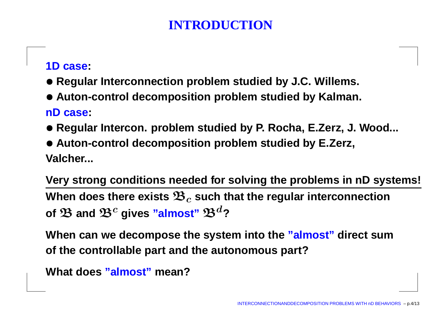#### **1D case:**

- **Regular Interconnection problem studied by J.C. Willems.**
- **Auton-control decomposition problem studied by Kalman. nD case:**
- **Regular Intercon. problem studied by P. Rocha, E.Zerz, J. Wood...**
- **Auton-control decomposition problem studied by E.Zerz, Valcher...**

**Very strong conditions needed for solving the problems in nD systems!** When does there exists  $\mathfrak{B}_{c}$  such that the regular interconnection of  $\mathfrak{B}% _{n}^{1}$  and  $\mathfrak{B}^{c}$  gives  $\mathsf{``almost''}$   $\mathfrak{B}^{d}$ ?

**When can we decompose the system into the "almost" direct sumof the controllable part and the autonomous part?**

```
What does "almost" mean?
```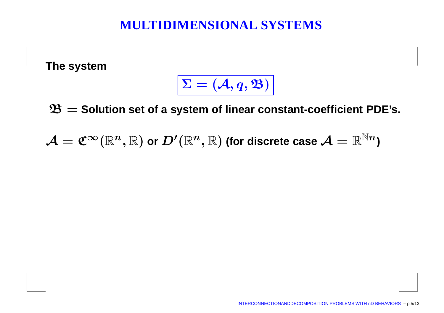## **MULTIDIMENSIONAL SYSTEMS**

**The system**

$$
\overline{\Sigma = (\mathcal{A}, q, \mathfrak{B})}
$$

B= **Solution set of <sup>a</sup> system of linear constant-coefficient PDE's.**

 $\mathcal{A}=\mathfrak{C}^\infty(\mathbb{R}^n$  $,\mathbb{R})$  or  $D'$  $^{\prime}(\mathbb{R}^{n}% )^{2d}\text{ \ (}\left\Vert \mathcal{H}(\mathcal{C})\right\Vert \otimes\mathcal{H}(\mathcal{C}))$  $(\mathbb{R}, \mathbb{R})$  (for discrete case  $\mathcal{A}=\mathbb{R}^{\mathbb{N}n}$  )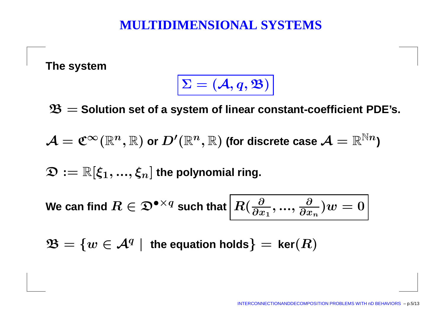#### **MULTIDIMENSIONAL SYSTEMS**

**The system**

$$
\Sigma = (\mathcal{A}, q, \mathfrak{B})
$$

B= **Solution set of <sup>a</sup> system of linear constant-coefficient PDE's.**

 $\mathcal{A}=\mathfrak{C}^\infty(\mathbb{R}^n$  $,\mathbb{R})$  or  $D'$  $^{\prime}(\mathbb{R}^{n}% )^{2d}\text{ \ (}\left\Vert \mathcal{H}(\mathcal{C})\right\Vert \otimes\mathcal{H}(\mathcal{C}))$  $(\mathbb{R}, \mathbb{R})$  (for discrete case  $\mathcal{A}=\mathbb{R}^{\mathbb{N}n}$  )

 $\mathfrak{D} := \mathbb{R}[\xi_1, ..., \xi_n]$  the polynomial ring.

 $\bm{\mathsf{W}}$ e can find  $R\in\mathfrak{D}^{\bullet\times}\times$  $^{q}$  such that  $\big|R(\frac{\partial}{\partial x})$  $\partial x_1$  '  $\cdots$  ' ∂ $\frac{\partial}{\partial x_n}$ ) $w = 0$ 

 $\mathfrak{B}=$  $\{w \in \mathcal{A}^q \mid \text{ the equation holds}\}$ |<br>|<br>|<br>|  $=$  **ker** $(R)$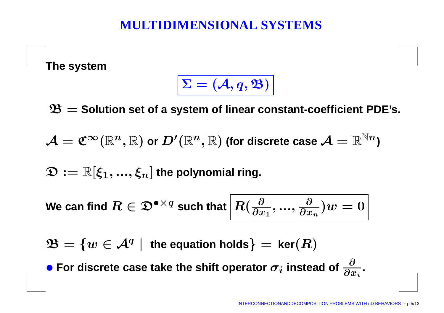#### **MULTIDIMENSIONAL SYSTEMS**

**The system**

$$
\Sigma = (\mathcal{A}, q, \mathfrak{B})
$$

B= **Solution set of <sup>a</sup> system of linear constant-coefficient PDE's.**

 $\mathcal{A}=\mathfrak{C}^\infty(\mathbb{R}^n$  $,\mathbb{R})$  or  $D'$  $^{\prime}(\mathbb{R}^{n}% )^{2d}\text{ \ (}\left\Vert \mathcal{H}(\mathcal{C})\right\Vert \otimes\mathcal{H}(\mathcal{C}))$  $(\mathbb{R}, \mathbb{R})$  (for discrete case  $\mathcal{A}=\mathbb{R}^{\mathbb{N}n}$  )

 $\mathfrak{D} := \mathbb{R}[\xi_1, ..., \xi_n]$  the polynomial ring.

 $\bm{\mathsf{W}}$ e can find  $R\in\mathfrak{D}^{\bullet\times}\times$  $^{q}$  such that  $\big|R(\frac{\partial}{\partial x})$  $\partial x_1$  '  $\cdots$  ' ∂ $\frac{\partial}{\partial x_n}$ ) $w = 0$ 

 $\mathfrak{B}=$  $\{w \in \mathcal{A}^q \mid \text{ the equation holds}\}$ |<br>|<br>|<br>|  $=$  **ker** $(R)$ 

**• For discrete case take the shift operator**  $\sigma_i$  **instead of** ∂ $\partial x_i$   $\overline{\phantom{a}}$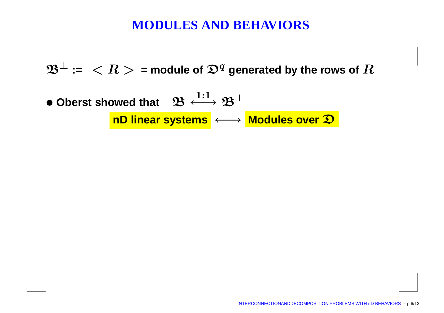#### **MODULES AND BEHAVIORS**

 $\mathfrak{B}^{\perp}$  $^{\perp}$  :=  $\ < R >$  = module of  $\mathfrak{D}^{q}$  generated by the rows of  $R$ 

**• Oberst showed that**  $\mathcal{B}$  $\mathfrak{B} \xrightarrow{1:1}$  **nD linear systems** ←→ **Modules over** D $\mathfrak{B}^{\perp}$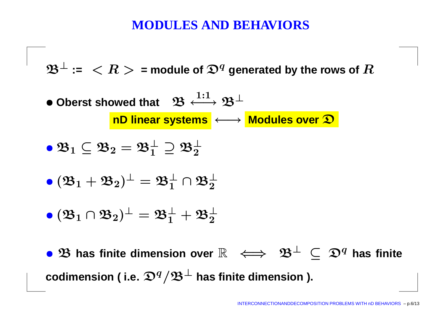#### **MODULES AND BEHAVIORS**

 $\mathfrak{B}^{\perp}$  $^{\perp}$  :=  $\ < R >$  = module of  $\mathfrak{D}^{q}$  generated by the rows of  $R$ 

**• Oberst showed that**  $\mathcal{B}$  $\mathfrak{B} \xrightarrow{1:1}$  **nD linear systems** ←→ **Modules over** D $\mathfrak{B}^{\perp}$ 

$$
\bullet\,\mathfrak{B}_1\subseteq\mathfrak{B}_2=\mathfrak{B}_1^\perp\supseteq\mathfrak{B}_2^\perp
$$

 $\bullet$   $(\mathfrak{B}_1+\mathfrak{B}_2)^\perp=\mathfrak{B}_1^\perp$  $_1^\perp\cap \mathfrak{B}_2^\perp$ 2

$$
\bullet\,({\mathfrak B}_1\cap{\mathfrak B}_2)^\perp={\mathfrak B}_1^\perp+{\mathfrak B}_2^\perp
$$

•B **has finite dimension over** R ⇐⇒B⊥⊆Dq **has finite** $\mathbf{codimension}$  ( i.e.  $\mathbf{\mathfrak{D}}^q/\mathfrak{B}^\perp$  has finite dimension ).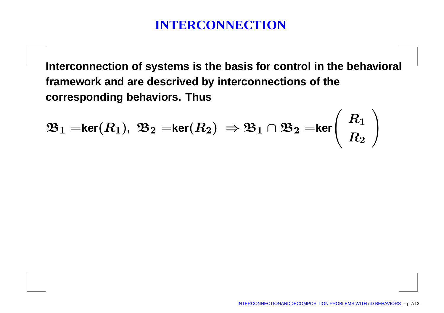## **INTERCONNECTION**

**Interconnection of systems is the basis for control in the behavioral framework and are descrived by interconnections of thecorresponding behaviors. Thus**

$$
\mathfrak{B}_1=\ker(R_1),\ \mathfrak{B}_2=\ker(R_2)\ \Rightarrow\mathfrak{B}_1\cap\mathfrak{B}_2=\ker\left(\begin{array}{c} R_1 \\ R_2 \end{array}\right)
$$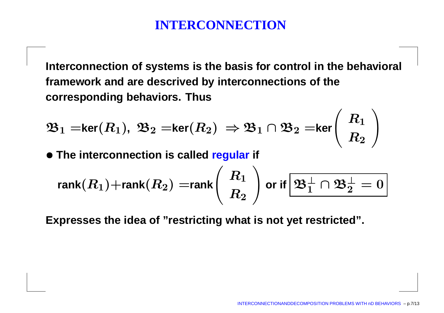# **INTERCONNECTION**

**Interconnection of systems is the basis for control in the behavioral framework and are descrived by interconnections of thecorresponding behaviors. Thus**

$$
\mathfrak{B}_1=\ker(R_1),\ \mathfrak{B}_2=\ker(R_2)\ \Rightarrow\mathfrak{B}_1\cap\mathfrak{B}_2=\ker\left(\begin{array}{c} R_1 \\ R_2 \end{array}\right)
$$

• **The interconnection is called regular if**

$$
\text{rank}(R_1)+\text{rank}(R_2)=\text{rank}\Bigg(\begin{array}{c} R_1 \\ R_2 \end{array}\Bigg) \text{ or if } \boxed{\mathfrak{B}^\perp_1\cap \mathfrak{B}^\perp_2=0}
$$

**Expresses the idea of "restricting what is not yet restricted".**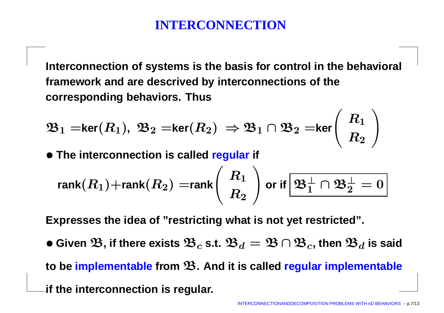# **INTERCONNECTION**

**Interconnection of systems is the basis for control in the behavioral framework and are descrived by interconnections of thecorresponding behaviors. Thus**

$$
\mathfrak{B}_1=\ker(R_1),\ \mathfrak{B}_2=\ker(R_2)\ \Rightarrow\mathfrak{B}_1\cap\mathfrak{B}_2=\ker\left(\begin{array}{c} R_1 \\ R_2 \end{array}\right)
$$

• **The interconnection is called regular if**

$$
\text{rank}(R_1)+\text{rank}(R_2)=\text{rank}\Bigg(\begin{array}{c} R_1 \\ R_2 \end{array}\Bigg) \text{ or if } \boxed{\mathfrak{B}^\perp_1\cap \mathfrak{B}^\perp_2=0}
$$

**Expresses the idea of "restricting what is not yet restricted".**

 $\bullet$  Given  $\mathfrak{B},$  if there exists  $\mathfrak{B}_c$  s.t.  $\mathfrak{B}_d = \mathfrak{B} \cap \mathfrak{B}_c,$  then  $\mathfrak{B}_d$  is said

**to be implementable from** <sup>B</sup>**. And it is called regular implementable**

**if the interconnection is regular.**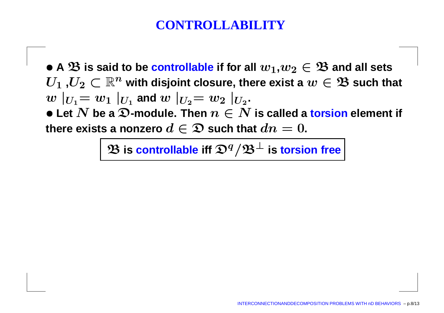## **CONTROLLABILITY**

 $\bullet$  A  $\mathfrak{B}$  is said to be controllable if for all  $w_1,w_2\in \mathfrak{B}$  and all sets<br> $H_1,H_2\subset \mathbb{R}^n$  with disjoint closure, there exist a  $w\in \mathfrak{B}$  such th  $U_1$  , $U_2 \subset \mathbb{R}^n$  with disjoint closure, there exist a  $w \in \mathfrak{B}$  such that<br> $w \mid_{U} = w_1 \mid_{U}$  and  $w \mid_{U} = w_2 \mid_{U}$  $w\mid_{U_{1}}=w_{1}\mid_{U_{1}}$  and  $w\mid_{U_{2}}=w_{2}\mid_{U_{2}}$ .<br>• Let  $N$  be a  $\Omega$  module. Then  $x\in N$ ● Let  $N$  be a  $\mathfrak{D}$ -module. Then  $n \in N$  is called a torsion element if<br>there exists a ponzero  $d \in \mathfrak{D}$  such that  $dn = 0$  $\begin{array}{r} \text{there exists a nonzero } d \in \mathfrak{D} \text{ such that } dn = 0. \end{array}$ 

 $\mathbf{\mathfrak{B}}$  is controllable iff  $\mathbf{\mathfrak{D}}^q/\mathbf{\mathfrak{B}}^\perp$  is torsion free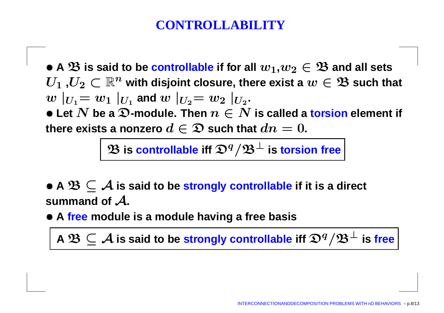## **CONTROLLABILI**

 $\bullet$  A  $\mathfrak{B}$  is said to be controllable if for all  $w_1,w_2\in \mathfrak{B}$  and all sets<br> $H_1,H_2\subset \mathbb{R}^n$  with disjoint closure, there exist a  $w\in \mathfrak{B}$  such th  $U_1$  , $U_2 \subset \mathbb{R}^n$  with disjoint closure, there exist a  $w \in \mathfrak{B}$  such that<br> $w \mid_{U} = w_1 \mid_{U}$  and  $w \mid_{U} = w_2 \mid_{U}$  $w\mid_{U_{1}}=w_{1}\mid_{U_{1}}$  and  $w\mid_{U_{2}}=w_{2}\mid_{U_{2}}$ .<br>• Let  $N$  be a  $\Omega$  module. Then  $x\in N$ ● Let  $N$  be a  $\mathfrak{D}$ -module. Then  $n \in N$  is called a torsion element if<br>there exists a ponzero  $d \in \mathfrak{D}$  such that  $dn = 0$  $\begin{array}{r} \text{there exists a nonzero } d \in \mathfrak{D} \text{ such that } dn = 0. \end{array}$ 

 $\mathbf{\mathfrak{B}}$  is controllable iff  $\mathbf{\mathfrak{D}}^q/\mathbf{\mathfrak{B}}^\perp$  is torsion free

• **<sup>A</sup>** <sup>B</sup> <sup>⊆</sup> <sup>A</sup> **is said to be strongly controllable if it is <sup>a</sup> direct** summand of  $\boldsymbol{\mathcal{A}}$ .

• **<sup>A</sup> free module is <sup>a</sup> module having <sup>a</sup> free basis**

**A**  $\mathfrak{B} \subseteq \mathcal{A}$  is said to be strongly controllable iff  $\mathfrak{D}^q/\mathfrak{B}^\perp$  is free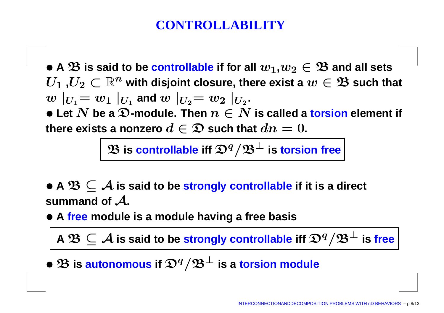## **CONTROLLABILI**

 $\bullet$  A  $\mathfrak{B}$  is said to be controllable if for all  $w_1,w_2\in \mathfrak{B}$  and all sets<br> $H_1,H_2\subset \mathbb{R}^n$  with disjoint closure, there exist a  $w\in \mathfrak{B}$  such th  $U_1$  , $U_2 \subset \mathbb{R}^n$  with disjoint closure, there exist a  $w \in \mathfrak{B}$  such that<br> $w \mid_{U} = w_1 \mid_{U}$  and  $w \mid_{U} = w_2 \mid_{U}$  $w\mid_{U_{1}}=w_{1}\mid_{U_{1}}$  and  $w\mid_{U_{2}}=w_{2}\mid_{U_{2}}$ .<br>• Let  $N$  be a  $\Omega$  module. Then  $x\in N$ ● Let  $N$  be a  $\mathfrak{D}$ -module. Then  $n \in N$  is called a torsion element if<br>there exists a ponzero  $d \in \mathfrak{D}$  such that  $dn = 0$  $\begin{array}{r} \text{there exists a nonzero } d \in \mathfrak{D} \text{ such that } dn = 0. \end{array}$ 

 $\mathbf{\mathfrak{B}}$  is controllable iff  $\mathbf{\mathfrak{D}}^q/\mathbf{\mathfrak{B}}^\perp$  is torsion free

• **<sup>A</sup>** <sup>B</sup> <sup>⊆</sup> <sup>A</sup> **is said to be strongly controllable if it is <sup>a</sup> direct** summand of  $\boldsymbol{\mathcal{A}}$ .

• **<sup>A</sup> free module is <sup>a</sup> module having <sup>a</sup> free basis**

**A**  $\mathfrak{B} \subseteq \mathcal{A}$  is said to be strongly controllable iff  $\mathfrak{D}^q/\mathfrak{B}^\perp$  is free

• <sup>B</sup> **is autonomous if** <sup>D</sup><sup>q</sup>/B<sup>⊥</sup> **is <sup>a</sup> torsion module**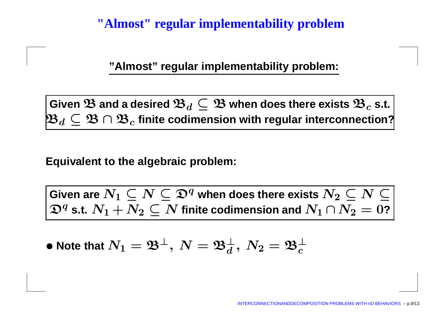#### **"Almost" regular implementability problem**

**"Almost" regular implementability problem:**

 $\mathbf{G}$ iven  $\mathbf{\mathfrak{B}}$  and a desired  $\mathbf{\mathfrak{B}}_d \subseteq \mathbf{\mathfrak{B}}$  when does there exists  $\mathbf{\mathfrak{B}}_c$ <br> $\mathbf{B}_d \subset \mathbf{\mathfrak{R}} \cap \mathbf{\mathfrak{R}}_c$  finite codimension with requilar interconnect  $\mathfrak{B}_d\subseteq\mathfrak{B}\cap\mathfrak{B}_c$  finite codimension with regular interconr **s.t. finite codimension with regular interconnection?**

#### **Equivalent to the algebraic problem:**

 $\mathbf{G}$ iven are  $N_1\subseteq N\subseteq \mathfrak{D}^q$  when does there exists  $N_2\subseteq N\subseteq \mathfrak{C}$  $N_1 + N_2 \subset N$  $\mathfrak{D}^q$  s.t.  $N_1 + N_2 \subseteq N$  finite codimension and  $N_1 \cap N_2 = 0$ ?

 $\bullet$  Note that  $N_1=\mathfrak{B}^{\perp}, \ N=\mathfrak{B}^{\perp}_d$ d $\frac{1}{d},\ N_2=\mathfrak{B}_c^{\perp}$ c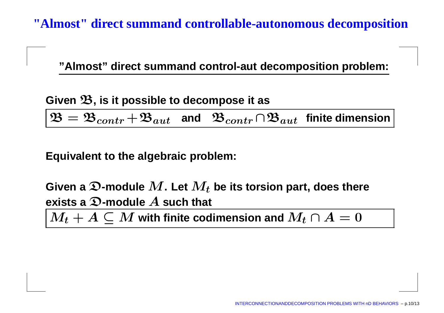**"Almost" direct summand controllable-autonomous decomposition**

**"Almost" direct summand control-aut decomposition problem:**

**Given**B**, is it possible to decompose it as**

 $\mathbf{B}=\mathbf{\mathfrak{B}}_{contr}+\mathbf{\mathfrak{B}}_{aut}$  and  $\mathbf{\mathfrak{B}}_{contr}\cap\mathbf{\mathfrak{B}}_{aut}$  finite dimension

**Equivalent to the algebraic problem:**

Given a  $\mathfrak{D}% _{k}(T_{0})$  -module  $M.$  Let  $M_{t}$  be its torsion part, does there **exists <sup>a</sup>**D**-module**A **such that**

 $M_t+A\subseteq M$  with finite codimension and  $M_t\cap A=0$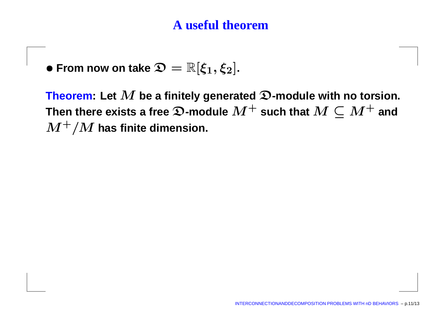## **A useful theorem**

 $\bullet$  From now on take  $\mathfrak{D} = \mathbb{R}[\xi_1, \xi_2]$ .

Theorem: Let  $\bm{M}$  $\bm{M}$  be a finitely generated  $\bm{\mathfrak{D}}$ -module with no torsion.<br>Ists a free  $\bm{\mathfrak{D}}$ -module  $\bm{M}^+$  such that  $\bm{M}\subseteq \bm{M}^+$  and  $\bm{M}$  there exists a free  $\bm{\mathfrak{D}}$ -module  $\bm{M}^+$  such that  $\bm{M} \subseteq \bm{M}^+$  and  $\bm{M}^+$  / $\bm{M}$  has finite dimension.  $\boldsymbol{M^+}/\boldsymbol{M}$  has finite dimension.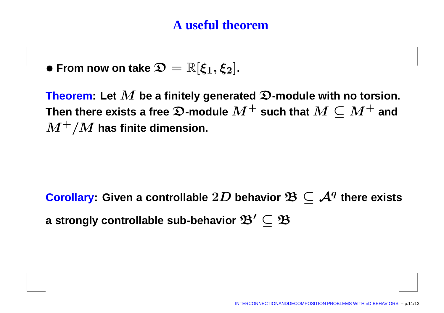## **A useful theorem**

 $\bullet$  From now on take  $\mathfrak{D} = \mathbb{R}[\xi_1, \xi_2]$ .

 **Theorem:** Let  $M$  be a finitely generated  $\mathfrak{D}\text{-}\mathbf{mod}$ ule with no torsion.<br>Then there exists a free  $\mathfrak{D}\text{-}\mathbf{mod}$ ule  $M^+$  such that  $M\subset M^+$  and  $\bm{M}$  there exists a free  $\bm{\mathfrak{D}}$ -module  $\bm{M}^+$  such that  $\bm{M} \subseteq \bm{M}^+$  and  $\bm{M}^+$  / $\bm{M}$  has finite dimension.  $\boldsymbol{M^+}/\boldsymbol{M}$  has finite dimension.

 $\textbf{Corollary:}$  Given a controllable  $2D$  behavior  $\mathfrak{B}\subseteq\mathcal{A}^q$  there exists **a** strongly controllable sub-behavior  $\mathfrak{B}'\subseteq \mathfrak{B}$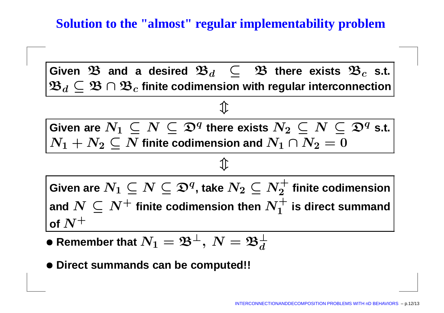**Solution to the "almost" regular implementability problem**

 $\mathbf{G}$ iven  $\mathbf{\mathfrak{B}}$  and a desired  $\mathbf{\mathfrak{B}}_d \ \subseteq \ \mathbf{\mathfrak{B}}$  there exists  $\mathbf{\mathfrak{B}}_c$ <br> $\mathbf{\mathfrak{R}}_d \subset \mathbf{\mathfrak{R}} \cap \mathbf{\mathfrak{R}}_c$  finite codimension with reqular interconnect  $\mathfrak{B}_d\subseteq\mathfrak{B}\cap\mathfrak{B}_c$  finite codimension with regular intercor **s.t. finite codimension with regular interconnection**  $\hat{\Downarrow}$  $\mathbf{G}$ iven are  $N_1\subseteq N\subseteq\mathfrak{D}^q$  there exists  $N_2\subseteq N\subseteq\mathfrak{D}^q$  s.t.  $J_{\boldsymbol{\alpha}}\subset\boldsymbol{N}$  finite co  $N_1 \cap N_2$  —  $N_1+N_2\subseteq N$  finite codimension and  $N_1\cap N_2=0$  $\hat{\Downarrow}$  $\mathbf{G}$ iven are  $N_1 \subseteq N \subseteq \mathfrak{D}^q$ , take  $N_2 \subseteq N_2^+$  $\subset$   $\mathbf{N}$ <sup>+</sup>  $\mathbf{G}_{\text{rel}}$  $N\subseteq N^+$  finite codimension then  $N^+_1$ 2 $\mathbf{a}^{\!\top}_{\mathbf{a}}$  finite codimension of  $N^+$ 1 $\boldsymbol{\mathrm{d}}$ <sup>T</sup> is direct summand

- $\bullet$  Remember that  $N_1=\mathfrak{B}^{\perp}, \ N=\mathfrak{B}^{\perp}_d$ d
- **Direct summands can be computed!!**